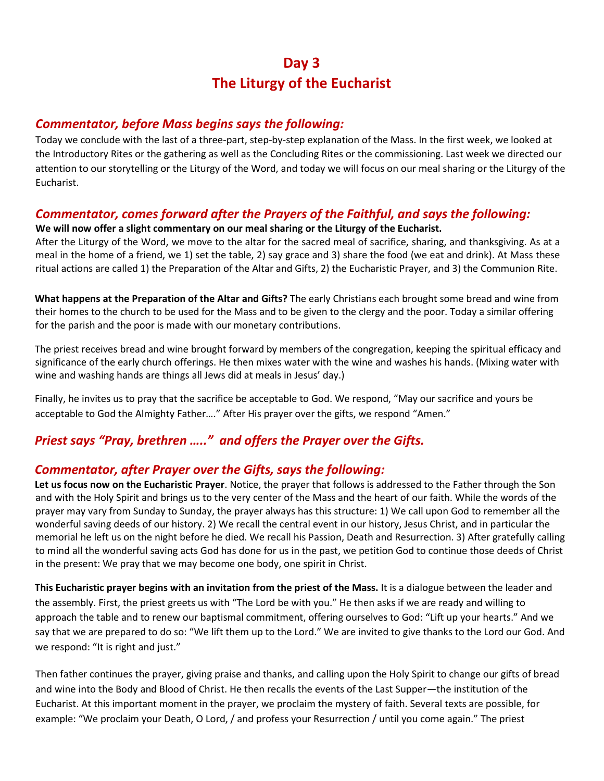# **Day 3 The Liturgy of the Eucharist**

#### *Commentator, before Mass begins says the following:*

Today we conclude with the last of a three-part, step-by-step explanation of the Mass. In the first week, we looked at the Introductory Rites or the gathering as well as the Concluding Rites or the commissioning. Last week we directed our attention to our storytelling or the Liturgy of the Word, and today we will focus on our meal sharing or the Liturgy of the Eucharist.

### *Commentator, comes forward after the Prayers of the Faithful, and says the following:*

**We will now offer a slight commentary on our meal sharing or the Liturgy of the Eucharist.** 

After the Liturgy of the Word, we move to the altar for the sacred meal of sacrifice, sharing, and thanksgiving. As at a meal in the home of a friend, we 1) set the table, 2) say grace and 3) share the food (we eat and drink). At Mass these ritual actions are called 1) the Preparation of the Altar and Gifts, 2) the Eucharistic Prayer, and 3) the Communion Rite.

**What happens at the Preparation of the Altar and Gifts?** The early Christians each brought some bread and wine from their homes to the church to be used for the Mass and to be given to the clergy and the poor. Today a similar offering for the parish and the poor is made with our monetary contributions.

The priest receives bread and wine brought forward by members of the congregation, keeping the spiritual efficacy and significance of the early church offerings. He then mixes water with the wine and washes his hands. (Mixing water with wine and washing hands are things all Jews did at meals in Jesus' day.)

Finally, he invites us to pray that the sacrifice be acceptable to God. We respond, "May our sacrifice and yours be acceptable to God the Almighty Father…." After His prayer over the gifts, we respond "Amen."

## *Priest says "Pray, brethren ….." and offers the Prayer over the Gifts.*

## *Commentator, after Prayer over the Gifts, says the following:*

**Let us focus now on the Eucharistic Prayer**. Notice, the prayer that follows is addressed to the Father through the Son and with the Holy Spirit and brings us to the very center of the Mass and the heart of our faith. While the words of the prayer may vary from Sunday to Sunday, the prayer always has this structure: 1) We call upon God to remember all the wonderful saving deeds of our history. 2) We recall the central event in our history, Jesus Christ, and in particular the memorial he left us on the night before he died. We recall his Passion, Death and Resurrection. 3) After gratefully calling to mind all the wonderful saving acts God has done for us in the past, we petition God to continue those deeds of Christ in the present: We pray that we may become one body, one spirit in Christ.

**This Eucharistic prayer begins with an invitation from the priest of the Mass.** It is a dialogue between the leader and the assembly. First, the priest greets us with "The Lord be with you." He then asks if we are ready and willing to approach the table and to renew our baptismal commitment, offering ourselves to God: "Lift up your hearts." And we say that we are prepared to do so: "We lift them up to the Lord." We are invited to give thanks to the Lord our God. And we respond: "It is right and just."

Then father continues the prayer, giving praise and thanks, and calling upon the Holy Spirit to change our gifts of bread and wine into the Body and Blood of Christ. He then recalls the events of the Last Supper—the institution of the Eucharist. At this important moment in the prayer, we proclaim the mystery of faith. Several texts are possible, for example: "We proclaim your Death, O Lord, / and profess your Resurrection / until you come again." The priest